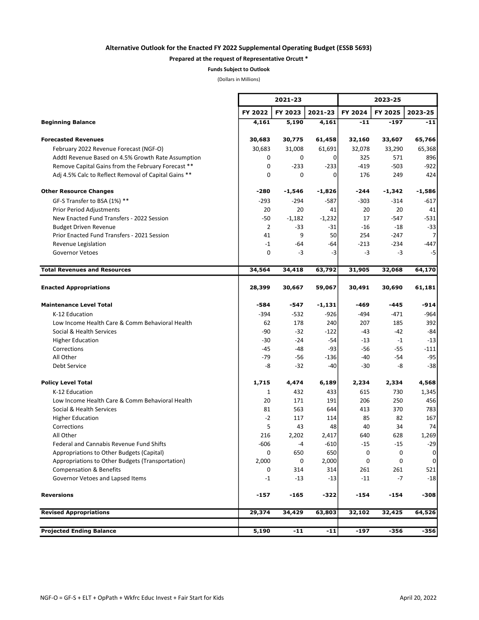## Alternative Outlook for the Enacted FY 2022 Supplemental Operating Budget (ESSB 5693)

## Prepared at the request of Representative Orcutt \*

Funds Subject to Outlook

(Dollars in Millions)

|                                                      | 2021-23        |             |          |         | 2023-25 |             |  |  |
|------------------------------------------------------|----------------|-------------|----------|---------|---------|-------------|--|--|
|                                                      | FY 2022        | FY 2023     | 2021-23  | FY 2024 | FY 2025 | 2023-25     |  |  |
| <b>Beginning Balance</b>                             | 4,161          | 5,190       | 4,161    | $-11$   | $-197$  | $-11$       |  |  |
| <b>Forecasted Revenues</b>                           | 30,683         | 30,775      | 61,458   | 32,160  | 33,607  | 65,766      |  |  |
| February 2022 Revenue Forecast (NGF-O)               | 30,683         | 31,008      | 61,691   | 32,078  | 33,290  | 65,368      |  |  |
| Addtl Revenue Based on 4.5% Growth Rate Assumption   | 0              | 0           | 0        | 325     | 571     | 896         |  |  |
| Remove Capital Gains from the February Forecast **   | 0              | $-233$      | $-233$   | $-419$  | $-503$  | $-922$      |  |  |
| Adj 4.5% Calc to Reflect Removal of Capital Gains ** | 0              | $\mathbf 0$ | 0        | 176     | 249     | 424         |  |  |
| <b>Other Resource Changes</b>                        | -280           | -1,546      | $-1,826$ | -244    | -1,342  | -1,586      |  |  |
| GF-S Transfer to BSA (1%) **                         | $-293$         | $-294$      | $-587$   | $-303$  | $-314$  | $-617$      |  |  |
| <b>Prior Period Adjustments</b>                      | 20             | 20          | 41       | 20      | 20      | 41          |  |  |
| New Enacted Fund Transfers - 2022 Session            | $-50$          | $-1,182$    | $-1,232$ | 17      | $-547$  | $-531$      |  |  |
| <b>Budget Driven Revenue</b>                         | $\overline{2}$ | $-33$       | $-31$    | $-16$   | $-18$   | $-33$       |  |  |
| Prior Enacted Fund Transfers - 2021 Session          | 41             | 9           | 50       | 254     | $-247$  | 7           |  |  |
| Revenue Legislation                                  | $-1$           | -64         | -64      | $-213$  | $-234$  | $-447$      |  |  |
| <b>Governor Vetoes</b>                               | 0              | $-3$        | -3       | -3      | -3      | -5          |  |  |
| <b>Total Revenues and Resources</b>                  | 34,564         | 34,418      | 63,792   | 31,905  | 32,068  | 64,170      |  |  |
| <b>Enacted Appropriations</b>                        | 28,399         | 30,667      | 59,067   | 30,491  | 30,690  | 61,181      |  |  |
| <b>Maintenance Level Total</b>                       | -584           | -547        | $-1,131$ | -469    | -445    | $-914$      |  |  |
| K-12 Education                                       | $-394$         | $-532$      | $-926$   | -494    | $-471$  | $-964$      |  |  |
| Low Income Health Care & Comm Behavioral Health      | 62             | 178         | 240      | 207     | 185     | 392         |  |  |
| Social & Health Services                             | -90            | -32         | $-122$   | -43     | $-42$   | $-84$       |  |  |
| <b>Higher Education</b>                              | $-30$          | $-24$       | -54      | -13     | $-1$    | $-13$       |  |  |
| Corrections                                          | -45            | -48         | $-93$    | -56     | -55     | $-111$      |  |  |
| All Other                                            | $-79$          | -56         | $-136$   | -40     | -54     | $-95$       |  |  |
| Debt Service                                         | -8             | $-32$       | $-40$    | -30     | -8      | $-38$       |  |  |
| <b>Policy Level Total</b>                            | 1,715          | 4,474       | 6,189    | 2,234   | 2,334   | 4,568       |  |  |
| K-12 Education                                       | 1              | 432         | 433      | 615     | 730     | 1,345       |  |  |
| Low Income Health Care & Comm Behavioral Health      | 20             | 171         | 191      | 206     | 250     | 456         |  |  |
| Social & Health Services                             | 81             | 563         | 644      | 413     | 370     | 783         |  |  |
| <b>Higher Education</b>                              | $-2$           | 117         | 114      | 85      | 82      | 167         |  |  |
| Corrections                                          | 5              | 43          | 48       | 40      | 34      | 74          |  |  |
| All Other                                            | 216            | 2,202       | 2,417    | 640     | 628     | 1,269       |  |  |
| Federal and Cannabis Revenue Fund Shifts             | $-606$         | $-4$        | $-610$   | $-15$   | $-15$   | $-29$       |  |  |
| Appropriations to Other Budgets (Capital)            | 0              | 650         | 650      | 0       | 0       | $\mathbf 0$ |  |  |
| Appropriations to Other Budgets (Transportation)     | 2,000          | 0           | 2,000    | 0       | 0       | 0           |  |  |
| <b>Compensation &amp; Benefits</b>                   | 0              | 314         | 314      | 261     | 261     | 521         |  |  |
| Governor Vetoes and Lapsed Items                     | -1             | $-13$       | $-13$    | $-11$   | $-7$    | $-18$       |  |  |
| <b>Reversions</b>                                    | -157           | -165        | -322     | -154    | $-154$  | $-308$      |  |  |
| <b>Revised Appropriations</b>                        | 29,374         | 34,429      | 63,803   | 32,102  | 32,425  | 64,526      |  |  |
| <b>Projected Ending Balance</b>                      | 5,190          | $-11$       | $-11$    | -197    | $-356$  | $-356$      |  |  |